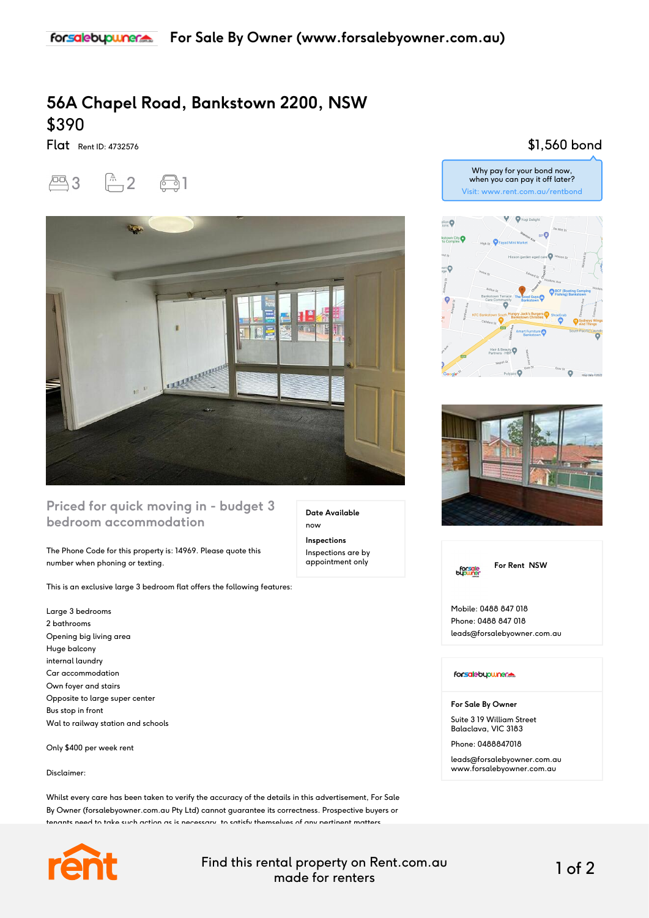## **56A Chapel Road, Bankstown 2200, NSW** \$390

Flat Rent ID: 4732576





### **Priced for quick moving in - budget 3 bedroom accommodation**

The Phone Code for this property is: 14969. Please quote this number when phoning or texting.

This is an exclusive large 3 bedroom flat offers the following features:

Large 3 bedrooms 2 bathrooms Opening big living area Huge balcony internal laundry Car accommodation Own foyer and stairs Opposite to large super center Bus stop in front Wal to railway station and schools

Only \$400 per week rent

#### Disclaimer:

Whilst every care has been taken to verify the accuracy of the details in this advertisement, For Sale By Owner (forsalebyowner.com.au Pty Ltd) cannot guarantee its correctness. Prospective buyers or tenants need to take such action as is necessary, to satisfy themselves of any pertinent matters.



Find this rental property on Rent.com.au made for renters 1 of 2

**Date Available**

now **Inspections** Inspections are by appointment only

## \$1,560 bond







Mobile: 0488 847 018 Phone: 0488 847 018 leads@forsalebyowner.com.au

#### forsalebypuner.

**For Sale By Owner**

Suite 3 19 William Street Balaclava, VIC 3183

Phone: 0488847018

leads@forsalebyowner.com.au www.forsalebyowner.com.au